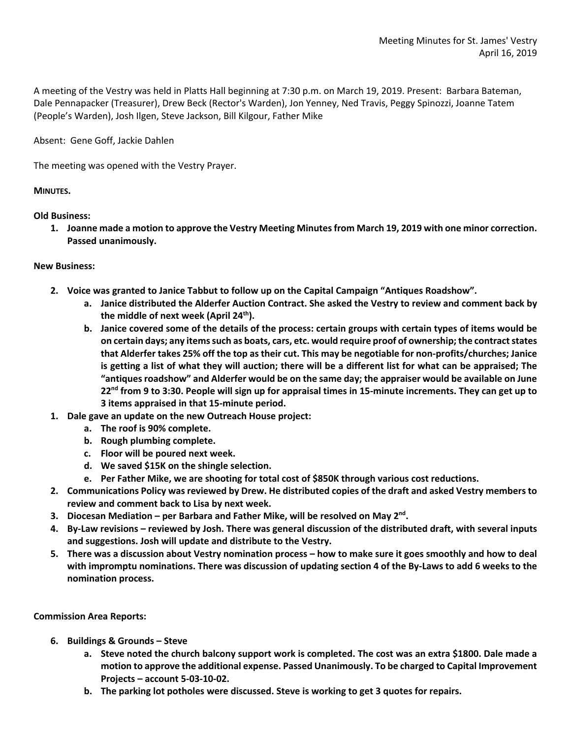A meeting of the Vestry was held in Platts Hall beginning at 7:30 p.m. on March 19, 2019. Present: Barbara Bateman, Dale Pennapacker (Treasurer), Drew Beck (Rector's Warden), Jon Yenney, Ned Travis, Peggy Spinozzi, Joanne Tatem (People's Warden), Josh Ilgen, Steve Jackson, Bill Kilgour, Father Mike

Absent: Gene Goff, Jackie Dahlen

The meeting was opened with the Vestry Prayer.

## **MINUTES.**

**Old Business:**

**1. Joanne made a motion to approve the Vestry Meeting Minutes from March 19, 2019 with one minor correction. Passed unanimously.**

## **New Business:**

- **2. Voice was granted to Janice Tabbut to follow up on the Capital Campaign "Antiques Roadshow".**
	- **a. Janice distributed the Alderfer Auction Contract. She asked the Vestry to review and comment back by the middle of next week (April 24th).**
	- **b. Janice covered some of the details of the process: certain groups with certain types of items would be on certain days; any items such as boats, cars, etc. would require proof of ownership; the contract states that Alderfer takes 25% off the top as their cut. This may be negotiable for non-profits/churches; Janice is getting a list of what they will auction; there will be a different list for what can be appraised; The "antiques roadshow" and Alderfer would be on the same day; the appraiser would be available on June 22nd from 9 to 3:30. People will sign up for appraisal times in 15-minute increments. They can get up to 3 items appraised in that 15-minute period.**
- **1. Dale gave an update on the new Outreach House project:**
	- **a. The roof is 90% complete.**
	- **b. Rough plumbing complete.**
	- **c. Floor will be poured next week.**
	- **d. We saved \$15K on the shingle selection.**
	- **e. Per Father Mike, we are shooting for total cost of \$850K through various cost reductions.**
- **2. Communications Policy was reviewed by Drew. He distributed copies of the draft and asked Vestry members to review and comment back to Lisa by next week.**
- **3. Diocesan Mediation – per Barbara and Father Mike, will be resolved on May 2nd.**
- **4. By-Law revisions – reviewed by Josh. There was general discussion of the distributed draft, with several inputs and suggestions. Josh will update and distribute to the Vestry.**
- **5. There was a discussion about Vestry nomination process – how to make sure it goes smoothly and how to deal with impromptu nominations. There was discussion of updating section 4 of the By-Laws to add 6 weeks to the nomination process.**

**Commission Area Reports:**

- **6. Buildings & Grounds – Steve**
	- **a. Steve noted the church balcony support work is completed. The cost was an extra \$1800. Dale made a motion to approve the additional expense. Passed Unanimously. To be charged to Capital Improvement Projects – account 5-03-10-02.**
	- **b. The parking lot potholes were discussed. Steve is working to get 3 quotes for repairs.**